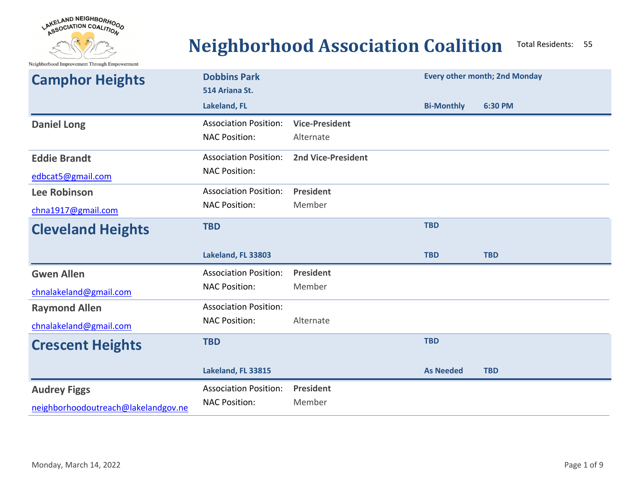

## **Neighborhood Association Coalition** Total Residents: <sup>55</sup>

Neighborhood Improvement Through Empowerment

| <b>Camphor Heights</b>   | <b>Dobbins Park</b><br>514 Ariana St. |                           |                   | <b>Every other month; 2nd Monday</b> |
|--------------------------|---------------------------------------|---------------------------|-------------------|--------------------------------------|
|                          | Lakeland, FL                          |                           | <b>Bi-Monthly</b> | 6:30 PM                              |
| <b>Daniel Long</b>       | <b>Association Position:</b>          | <b>Vice-President</b>     |                   |                                      |
|                          | <b>NAC Position:</b>                  | Alternate                 |                   |                                      |
| <b>Eddie Brandt</b>      | <b>Association Position:</b>          | <b>2nd Vice-President</b> |                   |                                      |
| edbcat5@gmail.com        | <b>NAC Position:</b>                  |                           |                   |                                      |
| <b>Lee Robinson</b>      | <b>Association Position:</b>          | <b>President</b>          |                   |                                      |
| chna1917@gmail.com       | <b>NAC Position:</b>                  | Member                    |                   |                                      |
| <b>Cleveland Heights</b> | <b>TBD</b>                            |                           | <b>TBD</b>        |                                      |
|                          |                                       |                           |                   |                                      |
|                          | Lakeland, FL 33803                    |                           | <b>TBD</b>        | <b>TBD</b>                           |
| <b>Gwen Allen</b>        | <b>Association Position:</b>          | <b>President</b>          |                   |                                      |
| chnalakeland@gmail.com   | <b>NAC Position:</b>                  | Member                    |                   |                                      |
| <b>Raymond Allen</b>     | <b>Association Position:</b>          |                           |                   |                                      |
| chnalakeland@gmail.com   | <b>NAC Position:</b>                  | Alternate                 |                   |                                      |
| <b>Crescent Heights</b>  | <b>TBD</b>                            |                           | <b>TBD</b>        |                                      |
|                          | Lakeland, FL 33815                    |                           | <b>As Needed</b>  | <b>TBD</b>                           |
| <b>Audrey Figgs</b>      | <b>Association Position:</b>          | President<br>Member       |                   |                                      |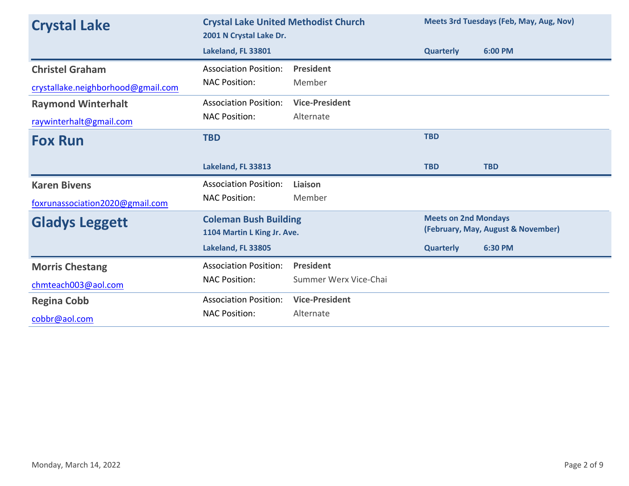| <b>Crystal Lake</b>                | <b>Crystal Lake United Methodist Church</b><br>2001 N Crystal Lake Dr. |                       | Meets 3rd Tuesdays (Feb, May, Aug, Nov)                           |            |
|------------------------------------|------------------------------------------------------------------------|-----------------------|-------------------------------------------------------------------|------------|
|                                    | Lakeland, FL 33801                                                     |                       | <b>Quarterly</b>                                                  | 6:00 PM    |
| <b>Christel Graham</b>             | <b>Association Position:</b>                                           | <b>President</b>      |                                                                   |            |
| crystallake.neighborhood@gmail.com | <b>NAC Position:</b>                                                   | Member                |                                                                   |            |
| <b>Raymond Winterhalt</b>          | <b>Association Position:</b>                                           | <b>Vice-President</b> |                                                                   |            |
| raywinterhalt@gmail.com            | <b>NAC Position:</b>                                                   | Alternate             |                                                                   |            |
| <b>Fox Run</b>                     | <b>TBD</b>                                                             |                       | <b>TBD</b>                                                        |            |
|                                    | Lakeland, FL 33813                                                     |                       | <b>TBD</b>                                                        | <b>TBD</b> |
| <b>Karen Bivens</b>                | <b>Association Position:</b>                                           | Liaison               |                                                                   |            |
| foxrunassociation2020@gmail.com    | <b>NAC Position:</b>                                                   | Member                |                                                                   |            |
| <b>Gladys Leggett</b>              | <b>Coleman Bush Building</b><br>1104 Martin L King Jr. Ave.            |                       | <b>Meets on 2nd Mondays</b><br>(February, May, August & November) |            |
|                                    | Lakeland, FL 33805                                                     |                       | <b>Quarterly</b>                                                  | 6:30 PM    |
| <b>Morris Chestang</b>             | <b>Association Position:</b>                                           | <b>President</b>      |                                                                   |            |
| chmteach003@aol.com                | <b>NAC Position:</b>                                                   | Summer Werx Vice-Chai |                                                                   |            |
| <b>Regina Cobb</b>                 | <b>Association Position:</b>                                           | <b>Vice-President</b> |                                                                   |            |
| cobbr@aol.com                      | <b>NAC Position:</b>                                                   | Alternate             |                                                                   |            |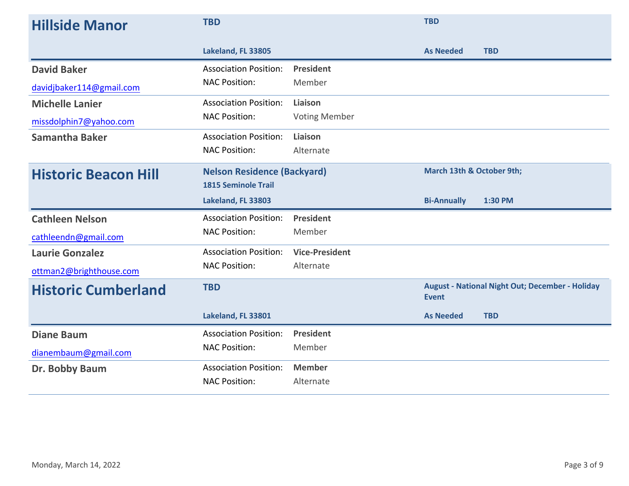| <b>Hillside Manor</b>       | <b>TBD</b>                         |                       | <b>TBD</b>                |                                                        |
|-----------------------------|------------------------------------|-----------------------|---------------------------|--------------------------------------------------------|
|                             | Lakeland, FL 33805                 |                       | <b>As Needed</b>          | <b>TBD</b>                                             |
| <b>David Baker</b>          | <b>Association Position:</b>       | President             |                           |                                                        |
| davidjbaker114@gmail.com    | <b>NAC Position:</b>               | Member                |                           |                                                        |
| <b>Michelle Lanier</b>      | <b>Association Position:</b>       | Liaison               |                           |                                                        |
| missdolphin7@yahoo.com      | <b>NAC Position:</b>               | <b>Voting Member</b>  |                           |                                                        |
| <b>Samantha Baker</b>       | <b>Association Position:</b>       | Liaison               |                           |                                                        |
|                             | <b>NAC Position:</b>               | Alternate             |                           |                                                        |
| <b>Historic Beacon Hill</b> | <b>Nelson Residence (Backyard)</b> |                       | March 13th & October 9th; |                                                        |
|                             | <b>1815 Seminole Trail</b>         |                       |                           |                                                        |
|                             | Lakeland, FL 33803                 |                       | <b>Bi-Annually</b>        | 1:30 PM                                                |
| <b>Cathleen Nelson</b>      | <b>Association Position:</b>       | President             |                           |                                                        |
| cathleendn@gmail.com        | <b>NAC Position:</b>               | Member                |                           |                                                        |
| <b>Laurie Gonzalez</b>      | <b>Association Position:</b>       | <b>Vice-President</b> |                           |                                                        |
| ottman2@brighthouse.com     | <b>NAC Position:</b>               | Alternate             |                           |                                                        |
| <b>Historic Cumberland</b>  | <b>TBD</b>                         |                       | <b>Event</b>              | <b>August - National Night Out; December - Holiday</b> |
|                             | Lakeland, FL 33801                 |                       | <b>As Needed</b>          | <b>TBD</b>                                             |
| <b>Diane Baum</b>           | <b>Association Position:</b>       | <b>President</b>      |                           |                                                        |
| dianembaum@gmail.com        | <b>NAC Position:</b>               | Member                |                           |                                                        |
| Dr. Bobby Baum              | <b>Association Position:</b>       | <b>Member</b>         |                           |                                                        |
|                             | <b>NAC Position:</b>               | Alternate             |                           |                                                        |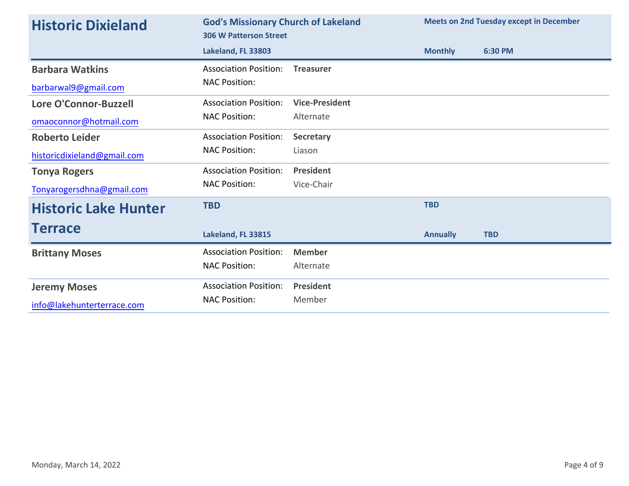| <b>Historic Dixieland</b>   | <b>God's Missionary Church of Lakeland</b><br><b>306 W Patterson Street</b> |                       | <b>Meets on 2nd Tuesday except in December</b> |            |
|-----------------------------|-----------------------------------------------------------------------------|-----------------------|------------------------------------------------|------------|
|                             | Lakeland, FL 33803                                                          |                       | <b>Monthly</b>                                 | 6:30 PM    |
| <b>Barbara Watkins</b>      | <b>Association Position:</b>                                                | <b>Treasurer</b>      |                                                |            |
| barbarwal9@gmail.com        | <b>NAC Position:</b>                                                        |                       |                                                |            |
| Lore O'Connor-Buzzell       | <b>Association Position:</b>                                                | <b>Vice-President</b> |                                                |            |
| omaoconnor@hotmail.com      | <b>NAC Position:</b>                                                        | Alternate             |                                                |            |
| <b>Roberto Leider</b>       | <b>Association Position:</b>                                                | <b>Secretary</b>      |                                                |            |
| historicdixieland@gmail.com | <b>NAC Position:</b>                                                        | Liason                |                                                |            |
| <b>Tonya Rogers</b>         | <b>Association Position:</b>                                                | <b>President</b>      |                                                |            |
| Tonyarogersdhna@gmail.com   | <b>NAC Position:</b>                                                        | Vice-Chair            |                                                |            |
| <b>Historic Lake Hunter</b> | <b>TBD</b>                                                                  |                       | <b>TBD</b>                                     |            |
| <b>Terrace</b>              | Lakeland, FL 33815                                                          |                       | <b>Annually</b>                                | <b>TBD</b> |
| <b>Brittany Moses</b>       | <b>Association Position:</b>                                                | <b>Member</b>         |                                                |            |
|                             | <b>NAC Position:</b>                                                        | Alternate             |                                                |            |
| <b>Jeremy Moses</b>         | <b>Association Position:</b>                                                | <b>President</b>      |                                                |            |
| info@lakehunterterrace.com  | <b>NAC Position:</b>                                                        | Member                |                                                |            |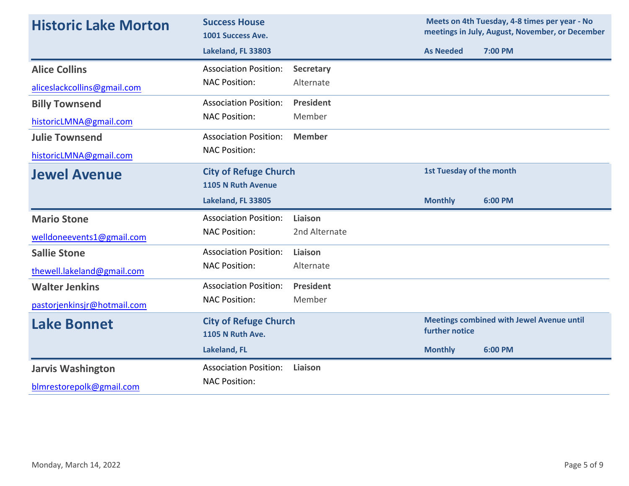| <b>Historic Lake Morton</b> | <b>Success House</b><br>1001 Success Ave.               |                  |                                 | Meets on 4th Tuesday, 4-8 times per year - No<br>meetings in July, August, November, or December |
|-----------------------------|---------------------------------------------------------|------------------|---------------------------------|--------------------------------------------------------------------------------------------------|
|                             | Lakeland, FL 33803                                      |                  | <b>As Needed</b>                | 7:00 PM                                                                                          |
| <b>Alice Collins</b>        | <b>Association Position:</b>                            | <b>Secretary</b> |                                 |                                                                                                  |
| aliceslackcollins@gmail.com | <b>NAC Position:</b>                                    | Alternate        |                                 |                                                                                                  |
| <b>Billy Townsend</b>       | <b>Association Position:</b>                            | <b>President</b> |                                 |                                                                                                  |
| historicLMNA@gmail.com      | <b>NAC Position:</b>                                    | Member           |                                 |                                                                                                  |
| <b>Julie Townsend</b>       | <b>Association Position:</b>                            | <b>Member</b>    |                                 |                                                                                                  |
| historicLMNA@gmail.com      | <b>NAC Position:</b>                                    |                  |                                 |                                                                                                  |
| <b>Jewel Avenue</b>         | <b>City of Refuge Church</b><br>1105 N Ruth Avenue      |                  | <b>1st Tuesday of the month</b> |                                                                                                  |
|                             | Lakeland, FL 33805                                      |                  | <b>Monthly</b>                  | 6:00 PM                                                                                          |
| <b>Mario Stone</b>          | <b>Association Position:</b>                            | Liaison          |                                 |                                                                                                  |
| welldoneevents1@gmail.com   | <b>NAC Position:</b>                                    | 2nd Alternate    |                                 |                                                                                                  |
| <b>Sallie Stone</b>         | <b>Association Position:</b>                            | Liaison          |                                 |                                                                                                  |
| thewell.lakeland@gmail.com  | <b>NAC Position:</b>                                    | Alternate        |                                 |                                                                                                  |
| <b>Walter Jenkins</b>       | <b>Association Position:</b>                            | <b>President</b> |                                 |                                                                                                  |
| pastorjenkinsjr@hotmail.com | <b>NAC Position:</b>                                    | Member           |                                 |                                                                                                  |
| <b>Lake Bonnet</b>          | <b>City of Refuge Church</b><br><b>1105 N Ruth Ave.</b> |                  | further notice                  | <b>Meetings combined with Jewel Avenue until</b>                                                 |
|                             | <b>Lakeland, FL</b>                                     |                  | <b>Monthly</b>                  | 6:00 PM                                                                                          |
| <b>Jarvis Washington</b>    | <b>Association Position:</b>                            | Liaison          |                                 |                                                                                                  |
| blmrestorepolk@gmail.com    | <b>NAC Position:</b>                                    |                  |                                 |                                                                                                  |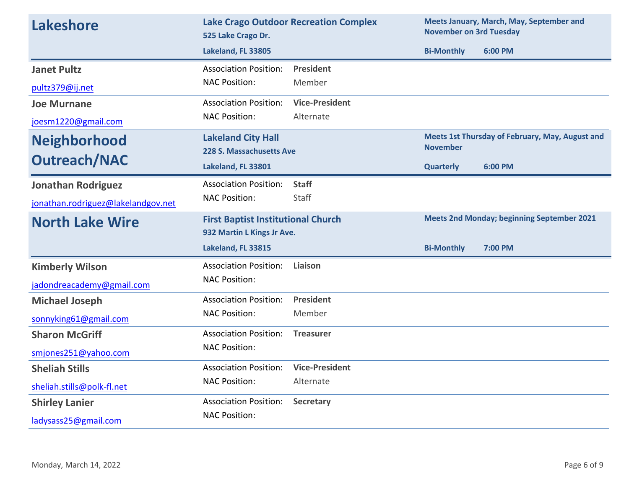| <b>Lakeshore</b>                   | <b>Lake Crago Outdoor Recreation Complex</b><br>525 Lake Crago Dr. |                       | Meets January, March, May, September and<br><b>November on 3rd Tuesday</b> |                                                 |  |
|------------------------------------|--------------------------------------------------------------------|-----------------------|----------------------------------------------------------------------------|-------------------------------------------------|--|
|                                    | Lakeland, FL 33805                                                 |                       | <b>Bi-Monthly</b>                                                          | 6:00 PM                                         |  |
| <b>Janet Pultz</b>                 | <b>Association Position:</b>                                       | <b>President</b>      |                                                                            |                                                 |  |
| pultz379@ij.net                    | <b>NAC Position:</b>                                               | Member                |                                                                            |                                                 |  |
| <b>Joe Murnane</b>                 | <b>Association Position:</b>                                       | <b>Vice-President</b> |                                                                            |                                                 |  |
| joesm1220@gmail.com                | <b>NAC Position:</b>                                               | Alternate             |                                                                            |                                                 |  |
| <b>Neighborhood</b>                | <b>Lakeland City Hall</b>                                          |                       | <b>November</b>                                                            | Meets 1st Thursday of February, May, August and |  |
| <b>Outreach/NAC</b>                | 228 S. Massachusetts Ave                                           |                       |                                                                            |                                                 |  |
|                                    | Lakeland, FL 33801                                                 |                       | <b>Quarterly</b>                                                           | 6:00 PM                                         |  |
| <b>Jonathan Rodriguez</b>          | <b>Association Position:</b>                                       | <b>Staff</b>          |                                                                            |                                                 |  |
| jonathan.rodriguez@lakelandgov.net | <b>NAC Position:</b>                                               | Staff                 |                                                                            |                                                 |  |
| <b>North Lake Wire</b>             | <b>First Baptist Institutional Church</b>                          |                       | <b>Meets 2nd Monday; beginning September 2021</b>                          |                                                 |  |
|                                    | 932 Martin L Kings Jr Ave.                                         |                       |                                                                            |                                                 |  |
|                                    | Lakeland, FL 33815                                                 |                       | <b>Bi-Monthly</b>                                                          | 7:00 PM                                         |  |
| <b>Kimberly Wilson</b>             | <b>Association Position:</b>                                       | Liaison               |                                                                            |                                                 |  |
| jadondreacademy@gmail.com          | <b>NAC Position:</b>                                               |                       |                                                                            |                                                 |  |
| <b>Michael Joseph</b>              | <b>Association Position:</b>                                       | President             |                                                                            |                                                 |  |
| sonnyking61@gmail.com              | <b>NAC Position:</b>                                               | Member                |                                                                            |                                                 |  |
| <b>Sharon McGriff</b>              | <b>Association Position:</b>                                       | <b>Treasurer</b>      |                                                                            |                                                 |  |
| smjones251@yahoo.com               | <b>NAC Position:</b>                                               |                       |                                                                            |                                                 |  |
| <b>Sheliah Stills</b>              | <b>Association Position:</b>                                       | <b>Vice-President</b> |                                                                            |                                                 |  |
| sheliah.stills@polk-fl.net         | <b>NAC Position:</b>                                               | Alternate             |                                                                            |                                                 |  |
| <b>Shirley Lanier</b>              | <b>Association Position:</b>                                       | <b>Secretary</b>      |                                                                            |                                                 |  |
| ladysass25@gmail.com               | <b>NAC Position:</b>                                               |                       |                                                                            |                                                 |  |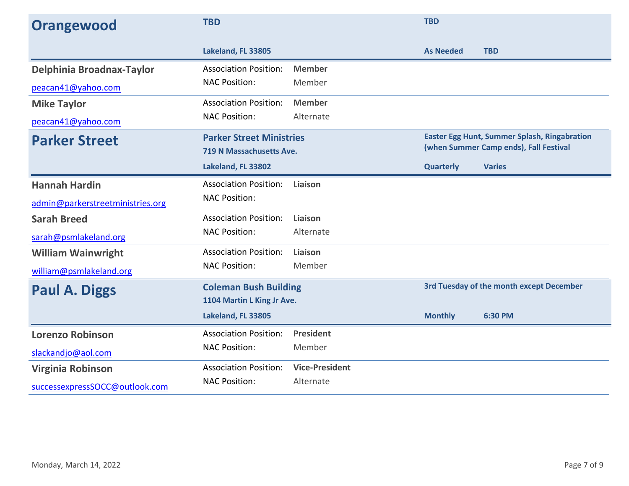| Orangewood                       | <b>TBD</b>                                                  |                       | <b>TBD</b>       |                                                                                               |
|----------------------------------|-------------------------------------------------------------|-----------------------|------------------|-----------------------------------------------------------------------------------------------|
|                                  | Lakeland, FL 33805                                          |                       | <b>As Needed</b> | <b>TBD</b>                                                                                    |
| Delphinia Broadnax-Taylor        | <b>Association Position:</b>                                | <b>Member</b>         |                  |                                                                                               |
| peacan41@yahoo.com               | <b>NAC Position:</b>                                        | Member                |                  |                                                                                               |
| <b>Mike Taylor</b>               | <b>Association Position:</b>                                | <b>Member</b>         |                  |                                                                                               |
| peacan41@yahoo.com               | <b>NAC Position:</b>                                        | Alternate             |                  |                                                                                               |
| <b>Parker Street</b>             | <b>Parker Street Ministries</b><br>719 N Massachusetts Ave. |                       |                  | <b>Easter Egg Hunt, Summer Splash, Ringabration</b><br>(when Summer Camp ends), Fall Festival |
|                                  | Lakeland, FL 33802                                          |                       | <b>Quarterly</b> | <b>Varies</b>                                                                                 |
| <b>Hannah Hardin</b>             | <b>Association Position:</b>                                | Liaison               |                  |                                                                                               |
| admin@parkerstreetministries.org | <b>NAC Position:</b>                                        |                       |                  |                                                                                               |
| <b>Sarah Breed</b>               | <b>Association Position:</b>                                | Liaison               |                  |                                                                                               |
| sarah@psmlakeland.org            | <b>NAC Position:</b>                                        | Alternate             |                  |                                                                                               |
| <b>William Wainwright</b>        | <b>Association Position:</b>                                | Liaison               |                  |                                                                                               |
| william@psmlakeland.org          | <b>NAC Position:</b>                                        | Member                |                  |                                                                                               |
| <b>Paul A. Diggs</b>             | <b>Coleman Bush Building</b>                                |                       |                  | <b>3rd Tuesday of the month except December</b>                                               |
|                                  | 1104 Martin L King Jr Ave.                                  |                       |                  |                                                                                               |
|                                  | Lakeland, FL 33805                                          |                       | <b>Monthly</b>   | 6:30 PM                                                                                       |
| <b>Lorenzo Robinson</b>          | <b>Association Position:</b>                                | <b>President</b>      |                  |                                                                                               |
| slackandjo@aol.com               | <b>NAC Position:</b>                                        | Member                |                  |                                                                                               |
| Virginia Robinson                | <b>Association Position:</b>                                | <b>Vice-President</b> |                  |                                                                                               |
| successexpressSOCC@outlook.com   | <b>NAC Position:</b>                                        | Alternate             |                  |                                                                                               |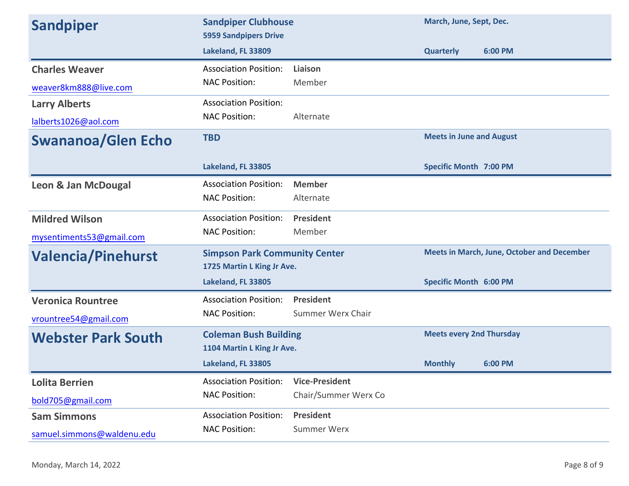| <b>Sandpiper</b>           | <b>Sandpiper Clubhouse</b><br><b>5959 Sandpipers Drive</b>         |                          | March, June, Sept, Dec.         |                                                   |
|----------------------------|--------------------------------------------------------------------|--------------------------|---------------------------------|---------------------------------------------------|
|                            | Lakeland, FL 33809                                                 |                          | <b>Quarterly</b>                | 6:00 PM                                           |
| <b>Charles Weaver</b>      | <b>Association Position:</b>                                       | Liaison                  |                                 |                                                   |
| weaver8km888@live.com      | <b>NAC Position:</b>                                               | Member                   |                                 |                                                   |
| <b>Larry Alberts</b>       | <b>Association Position:</b>                                       |                          |                                 |                                                   |
| lalberts1026@aol.com       | <b>NAC Position:</b>                                               | Alternate                |                                 |                                                   |
| <b>Swananoa/Glen Echo</b>  | <b>TBD</b>                                                         |                          | <b>Meets in June and August</b> |                                                   |
|                            | Lakeland, FL 33805                                                 |                          | <b>Specific Month 7:00 PM</b>   |                                                   |
| Leon & Jan McDougal        | <b>Association Position:</b>                                       | <b>Member</b>            |                                 |                                                   |
|                            | <b>NAC Position:</b>                                               | Alternate                |                                 |                                                   |
| <b>Mildred Wilson</b>      | <b>Association Position:</b>                                       | <b>President</b>         |                                 |                                                   |
| mysentiments53@gmail.com   | <b>NAC Position:</b>                                               | Member                   |                                 |                                                   |
| <b>Valencia/Pinehurst</b>  | <b>Simpson Park Community Center</b><br>1725 Martin L King Jr Ave. |                          |                                 | <b>Meets in March, June, October and December</b> |
|                            | Lakeland, FL 33805                                                 |                          | <b>Specific Month 6:00 PM</b>   |                                                   |
| <b>Veronica Rountree</b>   | <b>Association Position:</b>                                       | <b>President</b>         |                                 |                                                   |
| vrountree54@gmail.com      | <b>NAC Position:</b>                                               | <b>Summer Werx Chair</b> |                                 |                                                   |
| <b>Webster Park South</b>  | <b>Coleman Bush Building</b><br>1104 Martin L King Jr Ave.         |                          | <b>Meets every 2nd Thursday</b> |                                                   |
|                            | Lakeland, FL 33805                                                 |                          | <b>Monthly</b>                  | 6:00 PM                                           |
| <b>Lolita Berrien</b>      | <b>Association Position:</b>                                       | <b>Vice-President</b>    |                                 |                                                   |
| bold705@gmail.com          | <b>NAC Position:</b>                                               | Chair/Summer Werx Co     |                                 |                                                   |
| <b>Sam Simmons</b>         | <b>Association Position:</b>                                       | <b>President</b>         |                                 |                                                   |
| samuel.simmons@waldenu.edu | <b>NAC Position:</b>                                               | <b>Summer Werx</b>       |                                 |                                                   |